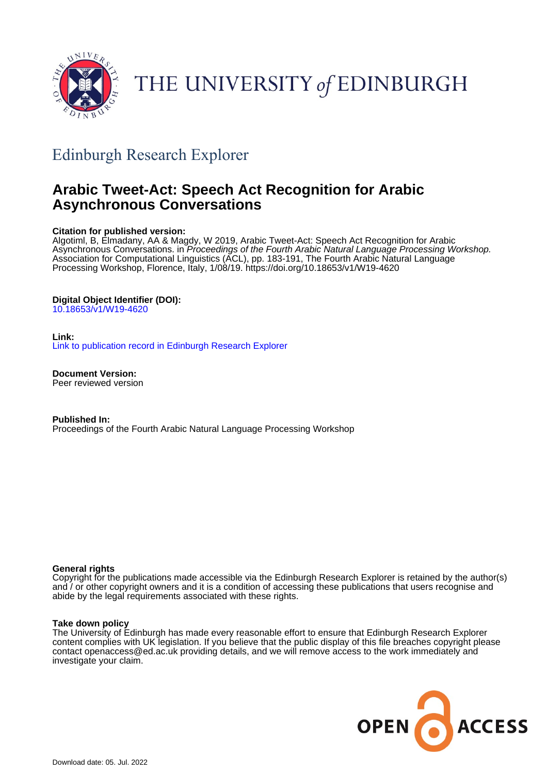

# THE UNIVERSITY of EDINBURGH

## Edinburgh Research Explorer

## **Arabic Tweet-Act: Speech Act Recognition for Arabic Asynchronous Conversations**

#### **Citation for published version:**

Algotiml, B, Elmadany, AA & Magdy, W 2019, Arabic Tweet-Act: Speech Act Recognition for Arabic Asynchronous Conversations. in *Proceedings of the Fourth Arabic Natural Language Processing Workshop.* Association for Computational Linguistics (ACL), pp. 183-191, The Fourth Arabic Natural Language Processing Workshop, Florence, Italy, 1/08/19.<https://doi.org/10.18653/v1/W19-4620>

#### **Digital Object Identifier (DOI):**

[10.18653/v1/W19-4620](https://doi.org/10.18653/v1/W19-4620)

#### **Link:**

[Link to publication record in Edinburgh Research Explorer](https://www.research.ed.ac.uk/en/publications/43b2bffe-9735-4cc8-824f-2e9d3dce6945)

**Document Version:** Peer reviewed version

**Published In:** Proceedings of the Fourth Arabic Natural Language Processing Workshop

#### **General rights**

Copyright for the publications made accessible via the Edinburgh Research Explorer is retained by the author(s) and / or other copyright owners and it is a condition of accessing these publications that users recognise and abide by the legal requirements associated with these rights.

#### **Take down policy**

The University of Edinburgh has made every reasonable effort to ensure that Edinburgh Research Explorer content complies with UK legislation. If you believe that the public display of this file breaches copyright please contact openaccess@ed.ac.uk providing details, and we will remove access to the work immediately and investigate your claim.

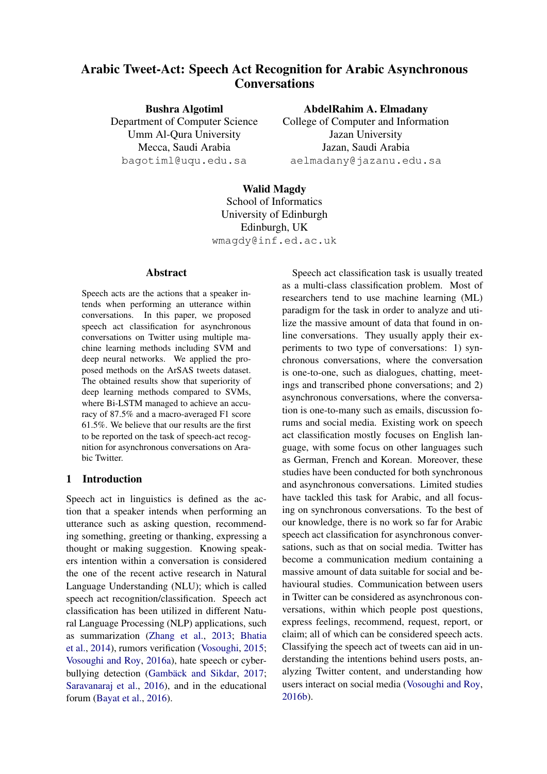### Arabic Tweet-Act: Speech Act Recognition for Arabic Asynchronous **Conversations**

Bushra Algotiml Department of Computer Science Umm Al-Qura University Mecca, Saudi Arabia bagotiml@uqu.edu.sa

AbdelRahim A. Elmadany

College of Computer and Information Jazan University Jazan, Saudi Arabia aelmadany@jazanu.edu.sa

## Walid Magdy

School of Informatics University of Edinburgh Edinburgh, UK wmagdy@inf.ed.ac.uk

#### Abstract

Speech acts are the actions that a speaker intends when performing an utterance within conversations. In this paper, we proposed speech act classification for asynchronous conversations on Twitter using multiple machine learning methods including SVM and deep neural networks. We applied the proposed methods on the ArSAS tweets dataset. The obtained results show that superiority of deep learning methods compared to SVMs, where Bi-LSTM managed to achieve an accuracy of 87.5% and a macro-averaged F1 score 61.5%. We believe that our results are the first to be reported on the task of speech-act recognition for asynchronous conversations on Arabic Twitter.

#### 1 Introduction

Speech act in linguistics is defined as the action that a speaker intends when performing an utterance such as asking question, recommending something, greeting or thanking, expressing a thought or making suggestion. Knowing speakers intention within a conversation is considered the one of the recent active research in Natural Language Understanding (NLU); which is called speech act recognition/classification. Speech act classification has been utilized in different Natural Language Processing (NLP) applications, such as summarization [\(Zhang et al.,](#page-9-0) [2013;](#page-9-0) [Bhatia](#page-8-0) [et al.,](#page-8-0) [2014\)](#page-8-0), rumors verification [\(Vosoughi,](#page-9-1) [2015;](#page-9-1) [Vosoughi and Roy,](#page-9-2) [2016a\)](#page-9-2), hate speech or cyber-bullying detection (Gambäck and Sikdar, [2017;](#page-8-1) [Saravanaraj et al.,](#page-8-2) [2016\)](#page-8-2), and in the educational forum [\(Bayat et al.,](#page-8-3) [2016\)](#page-8-3).

Speech act classification task is usually treated as a multi-class classification problem. Most of researchers tend to use machine learning (ML) paradigm for the task in order to analyze and utilize the massive amount of data that found in online conversations. They usually apply their experiments to two type of conversations: 1) synchronous conversations, where the conversation is one-to-one, such as dialogues, chatting, meetings and transcribed phone conversations; and 2) asynchronous conversations, where the conversation is one-to-many such as emails, discussion forums and social media. Existing work on speech act classification mostly focuses on English language, with some focus on other languages such as German, French and Korean. Moreover, these studies have been conducted for both synchronous and asynchronous conversations. Limited studies have tackled this task for Arabic, and all focusing on synchronous conversations. To the best of our knowledge, there is no work so far for Arabic speech act classification for asynchronous conversations, such as that on social media. Twitter has become a communication medium containing a massive amount of data suitable for social and behavioural studies. Communication between users in Twitter can be considered as asynchronous conversations, within which people post questions, express feelings, recommend, request, report, or claim; all of which can be considered speech acts. Classifying the speech act of tweets can aid in understanding the intentions behind users posts, analyzing Twitter content, and understanding how users interact on social media [\(Vosoughi and Roy,](#page-9-3) [2016b\)](#page-9-3).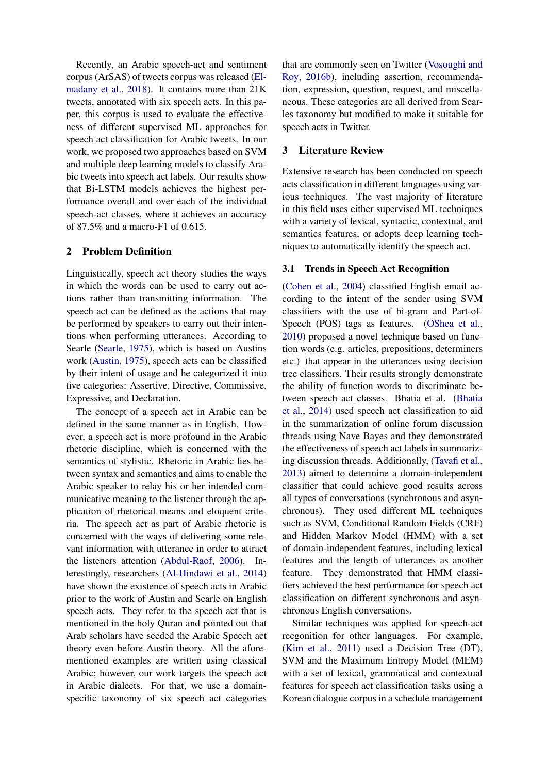Recently, an Arabic speech-act and sentiment corpus (ArSAS) of tweets corpus was released [\(El](#page-8-4)[madany et al.,](#page-8-4) [2018\)](#page-8-4). It contains more than 21K tweets, annotated with six speech acts. In this paper, this corpus is used to evaluate the effectiveness of different supervised ML approaches for speech act classification for Arabic tweets. In our work, we proposed two approaches based on SVM and multiple deep learning models to classify Arabic tweets into speech act labels. Our results show that Bi-LSTM models achieves the highest performance overall and over each of the individual speech-act classes, where it achieves an accuracy of 87.5% and a macro-F1 of 0.615.

#### 2 Problem Definition

Linguistically, speech act theory studies the ways in which the words can be used to carry out actions rather than transmitting information. The speech act can be defined as the actions that may be performed by speakers to carry out their intentions when performing utterances. According to Searle [\(Searle,](#page-8-5) [1975\)](#page-8-5), which is based on Austins work [\(Austin,](#page-8-6) [1975\)](#page-8-6), speech acts can be classified by their intent of usage and he categorized it into five categories: Assertive, Directive, Commissive, Expressive, and Declaration.

The concept of a speech act in Arabic can be defined in the same manner as in English. However, a speech act is more profound in the Arabic rhetoric discipline, which is concerned with the semantics of stylistic. Rhetoric in Arabic lies between syntax and semantics and aims to enable the Arabic speaker to relay his or her intended communicative meaning to the listener through the application of rhetorical means and eloquent criteria. The speech act as part of Arabic rhetoric is concerned with the ways of delivering some relevant information with utterance in order to attract the listeners attention [\(Abdul-Raof,](#page-8-7) [2006\)](#page-8-7). Interestingly, researchers [\(Al-Hindawi et al.,](#page-8-8) [2014\)](#page-8-8) have shown the existence of speech acts in Arabic prior to the work of Austin and Searle on English speech acts. They refer to the speech act that is mentioned in the holy Quran and pointed out that Arab scholars have seeded the Arabic Speech act theory even before Austin theory. All the aforementioned examples are written using classical Arabic; however, our work targets the speech act in Arabic dialects. For that, we use a domainspecific taxonomy of six speech act categories

that are commonly seen on Twitter [\(Vosoughi and](#page-9-3) [Roy,](#page-9-3) [2016b\)](#page-9-3), including assertion, recommendation, expression, question, request, and miscellaneous. These categories are all derived from Searles taxonomy but modified to make it suitable for speech acts in Twitter.

#### 3 Literature Review

Extensive research has been conducted on speech acts classification in different languages using various techniques. The vast majority of literature in this field uses either supervised ML techniques with a variety of lexical, syntactic, contextual, and semantics features, or adopts deep learning techniques to automatically identify the speech act.

#### 3.1 Trends in Speech Act Recognition

[\(Cohen et al.,](#page-8-9) [2004\)](#page-8-9) classified English email according to the intent of the sender using SVM classifiers with the use of bi-gram and Part-of-Speech (POS) tags as features. [\(OShea et al.,](#page-8-10) [2010\)](#page-8-10) proposed a novel technique based on function words (e.g. articles, prepositions, determiners etc.) that appear in the utterances using decision tree classifiers. Their results strongly demonstrate the ability of function words to discriminate between speech act classes. Bhatia et al. [\(Bhatia](#page-8-0) [et al.,](#page-8-0) [2014\)](#page-8-0) used speech act classification to aid in the summarization of online forum discussion threads using Nave Bayes and they demonstrated the effectiveness of speech act labels in summarizing discussion threads. Additionally, [\(Tavafi et al.,](#page-9-4) [2013\)](#page-9-4) aimed to determine a domain-independent classifier that could achieve good results across all types of conversations (synchronous and asynchronous). They used different ML techniques such as SVM, Conditional Random Fields (CRF) and Hidden Markov Model (HMM) with a set of domain-independent features, including lexical features and the length of utterances as another feature. They demonstrated that HMM classifiers achieved the best performance for speech act classification on different synchronous and asynchronous English conversations.

Similar techniques was applied for speech-act recgonition for other languages. For example, [\(Kim et al.,](#page-8-11) [2011\)](#page-8-11) used a Decision Tree (DT), SVM and the Maximum Entropy Model (MEM) with a set of lexical, grammatical and contextual features for speech act classification tasks using a Korean dialogue corpus in a schedule management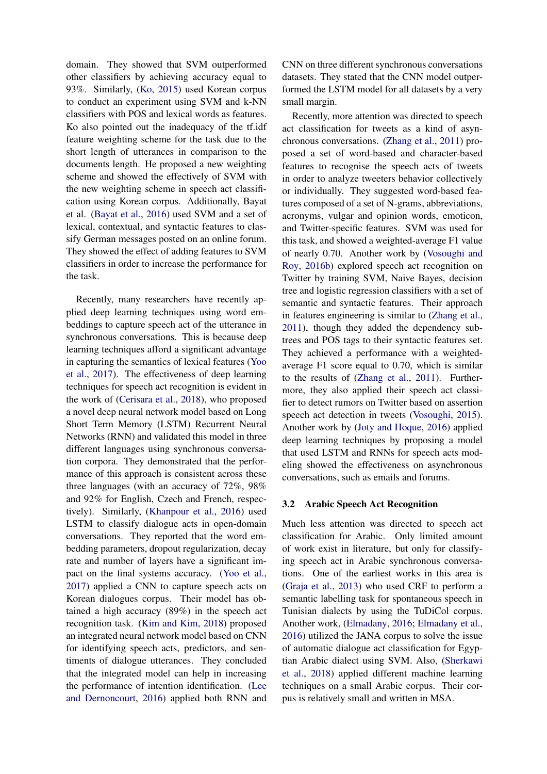domain. They showed that SVM outperformed other classifiers by achieving accuracy equal to 93%. Similarly, [\(Ko,](#page-8-12) [2015\)](#page-8-12) used Korean corpus to conduct an experiment using SVM and k-NN classifiers with POS and lexical words as features. Ko also pointed out the inadequacy of the tf.idf feature weighting scheme for the task due to the short length of utterances in comparison to the documents length. He proposed a new weighting scheme and showed the effectively of SVM with the new weighting scheme in speech act classification using Korean corpus. Additionally, Bayat et al. [\(Bayat et al.,](#page-8-3) [2016\)](#page-8-3) used SVM and a set of lexical, contextual, and syntactic features to classify German messages posted on an online forum. They showed the effect of adding features to SVM classifiers in order to increase the performance for the task.

Recently, many researchers have recently applied deep learning techniques using word embeddings to capture speech act of the utterance in synchronous conversations. This is because deep learning techniques afford a significant advantage in capturing the semantics of lexical features [\(Yoo](#page-9-5) [et al.,](#page-9-5) [2017\)](#page-9-5). The effectiveness of deep learning techniques for speech act recognition is evident in the work of [\(Cerisara et al.,](#page-8-13) [2018\)](#page-8-13), who proposed a novel deep neural network model based on Long Short Term Memory (LSTM) Recurrent Neural Networks (RNN) and validated this model in three different languages using synchronous conversation corpora. They demonstrated that the performance of this approach is consistent across these three languages (with an accuracy of 72%, 98% and 92% for English, Czech and French, respectively). Similarly, [\(Khanpour et al.,](#page-8-14) [2016\)](#page-8-14) used LSTM to classify dialogue acts in open-domain conversations. They reported that the word embedding parameters, dropout regularization, decay rate and number of layers have a significant impact on the final systems accuracy. [\(Yoo et al.,](#page-9-5) [2017\)](#page-9-5) applied a CNN to capture speech acts on Korean dialogues corpus. Their model has obtained a high accuracy (89%) in the speech act recognition task. [\(Kim and Kim,](#page-8-15) [2018\)](#page-8-15) proposed an integrated neural network model based on CNN for identifying speech acts, predictors, and sentiments of dialogue utterances. They concluded that the integrated model can help in increasing the performance of intention identification. [\(Lee](#page-8-16) [and Dernoncourt,](#page-8-16) [2016\)](#page-8-16) applied both RNN and CNN on three different synchronous conversations datasets. They stated that the CNN model outperformed the LSTM model for all datasets by a very small margin.

Recently, more attention was directed to speech act classification for tweets as a kind of asynchronous conversations. [\(Zhang et al.,](#page-9-6) [2011\)](#page-9-6) proposed a set of word-based and character-based features to recognise the speech acts of tweets in order to analyze tweeters behavior collectively or individually. They suggested word-based features composed of a set of N-grams, abbreviations, acronyms, vulgar and opinion words, emoticon, and Twitter-specific features. SVM was used for this task, and showed a weighted-average F1 value of nearly 0.70. Another work by [\(Vosoughi and](#page-9-3) [Roy,](#page-9-3) [2016b\)](#page-9-3) explored speech act recognition on Twitter by training SVM, Naive Bayes, decision tree and logistic regression classifiers with a set of semantic and syntactic features. Their approach in features engineering is similar to [\(Zhang et al.,](#page-9-6) [2011\)](#page-9-6), though they added the dependency subtrees and POS tags to their syntactic features set. They achieved a performance with a weightedaverage F1 score equal to 0.70, which is similar to the results of [\(Zhang et al.,](#page-9-6) [2011\)](#page-9-6). Furthermore, they also applied their speech act classifier to detect rumors on Twitter based on assertion speech act detection in tweets [\(Vosoughi,](#page-9-1) [2015\)](#page-9-1). Another work by [\(Joty and Hoque,](#page-8-17) [2016\)](#page-8-17) applied deep learning techniques by proposing a model that used LSTM and RNNs for speech acts modeling showed the effectiveness on asynchronous conversations, such as emails and forums.

#### 3.2 Arabic Speech Act Recognition

Much less attention was directed to speech act classification for Arabic. Only limited amount of work exist in literature, but only for classifying speech act in Arabic synchronous conversations. One of the earliest works in this area is [\(Graja et al.,](#page-8-18) [2013\)](#page-8-18) who used CRF to perform a semantic labelling task for spontaneous speech in Tunisian dialects by using the TuDiCol corpus. Another work, [\(Elmadany,](#page-8-19) [2016;](#page-8-19) [Elmadany et al.,](#page-8-20) [2016\)](#page-8-20) utilized the JANA corpus to solve the issue of automatic dialogue act classification for Egyptian Arabic dialect using SVM. Also, [\(Sherkawi](#page-8-21) [et al.,](#page-8-21) [2018\)](#page-8-21) applied different machine learning techniques on a small Arabic corpus. Their corpus is relatively small and written in MSA.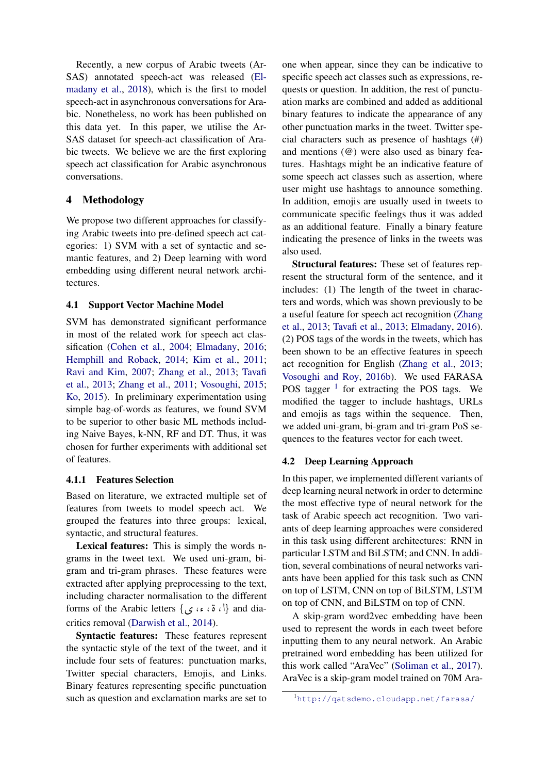Recently, a new corpus of Arabic tweets (Ar-SAS) annotated speech-act was released [\(El](#page-8-4)[madany et al.,](#page-8-4) [2018\)](#page-8-4), which is the first to model speech-act in asynchronous conversations for Arabic. Nonetheless, no work has been published on this data yet. In this paper, we utilise the Ar-SAS dataset for speech-act classification of Arabic tweets. We believe we are the first exploring speech act classification for Arabic asynchronous conversations.

#### 4 Methodology

We propose two different approaches for classifying Arabic tweets into pre-defined speech act categories: 1) SVM with a set of syntactic and semantic features, and 2) Deep learning with word embedding using different neural network architectures.

#### 4.1 Support Vector Machine Model

SVM has demonstrated significant performance in most of the related work for speech act classification [\(Cohen et al.,](#page-8-9) [2004;](#page-8-9) [Elmadany,](#page-8-19) [2016;](#page-8-19) [Hemphill and Roback,](#page-8-22) [2014;](#page-8-22) [Kim et al.,](#page-8-11) [2011;](#page-8-11) [Ravi and Kim,](#page-8-23) [2007;](#page-8-23) [Zhang et al.,](#page-9-0) [2013;](#page-9-0) [Tavafi](#page-9-4) [et al.,](#page-9-4) [2013;](#page-9-4) [Zhang et al.,](#page-9-6) [2011;](#page-9-6) [Vosoughi,](#page-9-1) [2015;](#page-9-1) [Ko,](#page-8-12) [2015\)](#page-8-12). In preliminary experimentation using simple bag-of-words as features, we found SVM to be superior to other basic ML methods including Naive Bayes, k-NN, RF and DT. Thus, it was chosen for further experiments with additional set of features.

#### 4.1.1 Features Selection

Based on literature, we extracted multiple set of features from tweets to model speech act. We grouped the features into three groups: lexical, syntactic, and structural features.

Lexical features: This is simply the words ngrams in the tweet text. We used uni-gram, bigram and tri-gram phrases. These features were extracted after applying preprocessing to the text, including character normalisation to the different forms of the Arabic letters  $\{ \, \sigma \, : \, \alpha \}$  and dia- $\frac{1}{1}$ critics removal [\(Darwish et al.,](#page-8-24) [2014\)](#page-8-24).

Syntactic features: These features represent the syntactic style of the text of the tweet, and it include four sets of features: punctuation marks, Twitter special characters, Emojis, and Links. Binary features representing specific punctuation such as question and exclamation marks are set to

one when appear, since they can be indicative to specific speech act classes such as expressions, requests or question. In addition, the rest of punctuation marks are combined and added as additional binary features to indicate the appearance of any other punctuation marks in the tweet. Twitter special characters such as presence of hashtags (#) and mentions (@) were also used as binary features. Hashtags might be an indicative feature of some speech act classes such as assertion, where user might use hashtags to announce something. In addition, emojis are usually used in tweets to communicate specific feelings thus it was added as an additional feature. Finally a binary feature indicating the presence of links in the tweets was also used.

Structural features: These set of features represent the structural form of the sentence, and it includes: (1) The length of the tweet in characters and words, which was shown previously to be a useful feature for speech act recognition [\(Zhang](#page-9-0) [et al.,](#page-9-0) [2013;](#page-9-0) [Tavafi et al.,](#page-9-4) [2013;](#page-9-4) [Elmadany,](#page-8-19) [2016\)](#page-8-19). (2) POS tags of the words in the tweets, which has been shown to be an effective features in speech act recognition for English [\(Zhang et al.,](#page-9-0) [2013;](#page-9-0) [Vosoughi and Roy,](#page-9-3) [2016b\)](#page-9-3). We used FARASA POS tagger  $1$  for extracting the POS tags. We modified the tagger to include hashtags, URLs and emojis as tags within the sequence. Then, we added uni-gram, bi-gram and tri-gram PoS sequences to the features vector for each tweet.

#### 4.2 Deep Learning Approach

In this paper, we implemented different variants of deep learning neural network in order to determine the most effective type of neural network for the task of Arabic speech act recognition. Two variants of deep learning approaches were considered in this task using different architectures: RNN in particular LSTM and BiLSTM; and CNN. In addition, several combinations of neural networks variants have been applied for this task such as CNN on top of LSTM, CNN on top of BiLSTM, LSTM on top of CNN, and BiLSTM on top of CNN.

A skip-gram word2vec embedding have been used to represent the words in each tweet before inputting them to any neural network. An Arabic pretrained word embedding has been utilized for this work called "AraVec" [\(Soliman et al.,](#page-9-7) [2017\)](#page-9-7). AraVec is a skip-gram model trained on 70M Ara-

<span id="page-4-0"></span><sup>1</sup><http://qatsdemo.cloudapp.net/farasa/>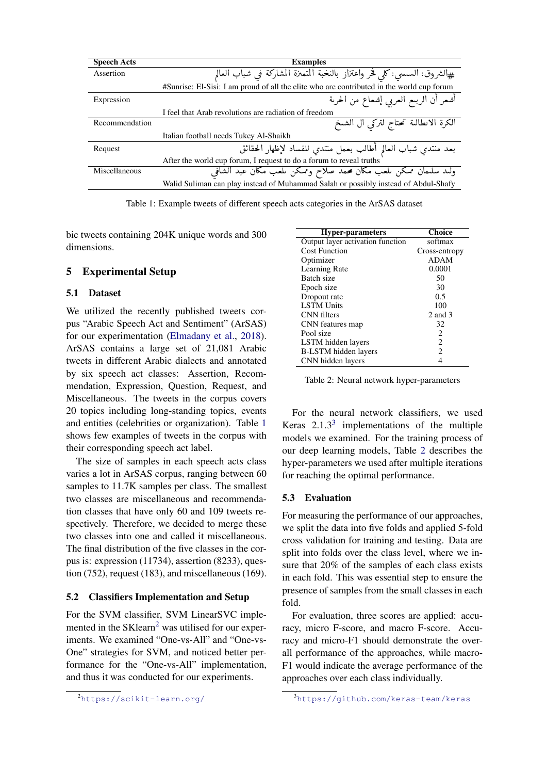<span id="page-5-0"></span>

| <b>Speech Acts</b> | <b>Examples</b>                                                                           |  |  |
|--------------------|-------------------------------------------------------------------------------------------|--|--|
| Assertion          | #الشروق: السسي: كلي فخر واعتزاز بالنخبة المتميزة المشاركة في شباب العالم                  |  |  |
|                    | #Sunrise: El-Sisi: I am proud of all the elite who are contributed in the world cup forum |  |  |
| Expression         | أشعر أن الربىع العربى إشعاع من الحرىة                                                     |  |  |
|                    | I feel that Arab revolutions are radiation of freedom                                     |  |  |
| Recommendation     | الكرة الانطالية تحتاج لتركي ال الشيخ                                                      |  |  |
|                    | Italian football needs Tukey Al-Shaikh                                                    |  |  |
| Request            | بعد منتدي شباب العالم أطالب بعمل منتدي للفساد لإظهار الحقائق                              |  |  |
|                    | After the world cup forum, I request to do a forum to reveal truths                       |  |  |
| Miscellaneous      | ولىد سلىمان ممكن ىلعب مكان محمد صلاح وممكن ىلعب مكان عبد الشافي                           |  |  |
|                    | Walid Suliman can play instead of Muhammad Salah or possibly instead of Abdul-Shafy       |  |  |

Table 1: Example tweets of different speech acts categories in the ArSAS dataset

bic tweets containing 204K unique words and 300 dimensions.

#### 5 Experimental Setup

#### 5.1 Dataset

We utilized the recently published tweets corpus "Arabic Speech Act and Sentiment" (ArSAS) for our experimentation [\(Elmadany et al.,](#page-8-4) [2018\)](#page-8-4). ArSAS contains a large set of 21,081 Arabic tweets in different Arabic dialects and annotated by six speech act classes: Assertion, Recommendation, Expression, Question, Request, and Miscellaneous. The tweets in the corpus covers 20 topics including long-standing topics, events and entities (celebrities or organization). Table [1](#page-5-0) shows few examples of tweets in the corpus with their corresponding speech act label.

The size of samples in each speech acts class varies a lot in ArSAS corpus, ranging between 60 samples to 11.7K samples per class. The smallest two classes are miscellaneous and recommendation classes that have only 60 and 109 tweets respectively. Therefore, we decided to merge these two classes into one and called it miscellaneous. The final distribution of the five classes in the corpus is: expression (11734), assertion (8233), question (752), request (183), and miscellaneous (169).

#### 5.2 Classifiers Implementation and Setup

For the SVM classifier, SVM LinearSVC implemented in the  $SKlearn<sup>2</sup>$  $SKlearn<sup>2</sup>$  $SKlearn<sup>2</sup>$  was utilised for our experiments. We examined "One-vs-All" and "One-vs-One" strategies for SVM, and noticed better performance for the "One-vs-All" implementation, and thus it was conducted for our experiments.

<span id="page-5-3"></span>

| <b>Hyper-parameters</b>          | <b>Choice</b>  |
|----------------------------------|----------------|
| Output layer activation function | softmax        |
| <b>Cost Function</b>             | Cross-entropy  |
| Optimizer                        | <b>ADAM</b>    |
| Learning Rate                    | 0.0001         |
| Batch size                       | 50             |
| Epoch size                       | 30             |
| Dropout rate                     | 0.5            |
| <b>LSTM Units</b>                | 100            |
| CNN filters                      | 2 and 3        |
| CNN features map                 | 32             |
| Pool size                        | 2              |
| LSTM hidden layers               | $\overline{2}$ |
| B-LSTM hidden layers             | $\overline{c}$ |
| CNN hidden layers                | 4              |

Table 2: Neural network hyper-parameters

For the neural network classifiers, we used Keras  $2.1.3<sup>3</sup>$  $2.1.3<sup>3</sup>$  $2.1.3<sup>3</sup>$  implementations of the multiple models we examined. For the training process of our deep learning models, Table [2](#page-5-3) describes the hyper-parameters we used after multiple iterations for reaching the optimal performance.

#### 5.3 Evaluation

For measuring the performance of our approaches, we split the data into five folds and applied 5-fold cross validation for training and testing. Data are split into folds over the class level, where we insure that 20% of the samples of each class exists in each fold. This was essential step to ensure the presence of samples from the small classes in each fold.

For evaluation, three scores are applied: accuracy, micro F-score, and macro F-score. Accuracy and micro-F1 should demonstrate the overall performance of the approaches, while macro-F1 would indicate the average performance of the approaches over each class individually.

<span id="page-5-1"></span><sup>2</sup><https://scikit-learn.org/>

<span id="page-5-2"></span><sup>3</sup><https://github.com/keras-team/keras>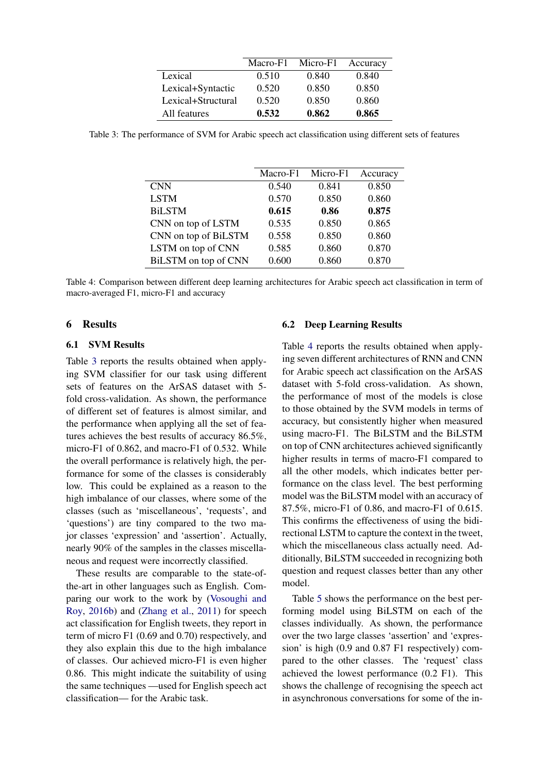|                    | Macro-F1 | Micro-F1 | Accuracy |
|--------------------|----------|----------|----------|
| Lexical            | 0.510    | 0.840    | 0.840    |
| Lexical+Syntactic  | 0.520    | 0.850    | 0.850    |
| Lexical+Structural | 0.520    | 0.850    | 0.860    |
| All features       | 0.532    | 0.862    | 0.865    |

<span id="page-6-0"></span>Table 3: The performance of SVM for Arabic speech act classification using different sets of features

|                      | Macro-F1 | Micro-F1 | Accuracy |
|----------------------|----------|----------|----------|
| <b>CNN</b>           | 0.540    | 0.841    | 0.850    |
| <b>LSTM</b>          | 0.570    | 0.850    | 0.860    |
| <b>BiLSTM</b>        | 0.615    | 0.86     | 0.875    |
| CNN on top of LSTM   | 0.535    | 0.850    | 0.865    |
| CNN on top of BiLSTM | 0.558    | 0.850    | 0.860    |
| LSTM on top of CNN   | 0.585    | 0.860    | 0.870    |
| BiLSTM on top of CNN | 0.600    | 0.860    | 0.870    |

Table 4: Comparison between different deep learning architectures for Arabic speech act classification in term of macro-averaged F1, micro-F1 and accuracy

#### 6 Results

#### 6.1 SVM Results

Table [3](#page-6-0) reports the results obtained when applying SVM classifier for our task using different sets of features on the ArSAS dataset with 5 fold cross-validation. As shown, the performance of different set of features is almost similar, and the performance when applying all the set of features achieves the best results of accuracy 86.5%, micro-F1 of 0.862, and macro-F1 of 0.532. While the overall performance is relatively high, the performance for some of the classes is considerably low. This could be explained as a reason to the high imbalance of our classes, where some of the classes (such as 'miscellaneous', 'requests', and 'questions') are tiny compared to the two major classes 'expression' and 'assertion'. Actually, nearly 90% of the samples in the classes miscellaneous and request were incorrectly classified.

These results are comparable to the state-ofthe-art in other languages such as English. Comparing our work to the work by [\(Vosoughi and](#page-9-3) [Roy,](#page-9-3) [2016b\)](#page-9-3) and [\(Zhang et al.,](#page-9-6) [2011\)](#page-9-6) for speech act classification for English tweets, they report in term of micro F1 (0.69 and 0.70) respectively, and they also explain this due to the high imbalance of classes. Our achieved micro-F1 is even higher 0.86. This might indicate the suitability of using the same techniques —used for English speech act classification— for the Arabic task.

#### 6.2 Deep Learning Results

Table [4](#page-6-0) reports the results obtained when applying seven different architectures of RNN and CNN for Arabic speech act classification on the ArSAS dataset with 5-fold cross-validation. As shown, the performance of most of the models is close to those obtained by the SVM models in terms of accuracy, but consistently higher when measured using macro-F1. The BiLSTM and the BiLSTM on top of CNN architectures achieved significantly higher results in terms of macro-F1 compared to all the other models, which indicates better performance on the class level. The best performing model was the BiLSTM model with an accuracy of 87.5%, micro-F1 of 0.86, and macro-F1 of 0.615. This confirms the effectiveness of using the bidirectional LSTM to capture the context in the tweet, which the miscellaneous class actually need. Additionally, BiLSTM succeeded in recognizing both question and request classes better than any other model.

Table [5](#page-7-0) shows the performance on the best performing model using BiLSTM on each of the classes individually. As shown, the performance over the two large classes 'assertion' and 'expression' is high (0.9 and 0.87 F1 respectively) compared to the other classes. The 'request' class achieved the lowest performance (0.2 F1). This shows the challenge of recognising the speech act in asynchronous conversations for some of the in-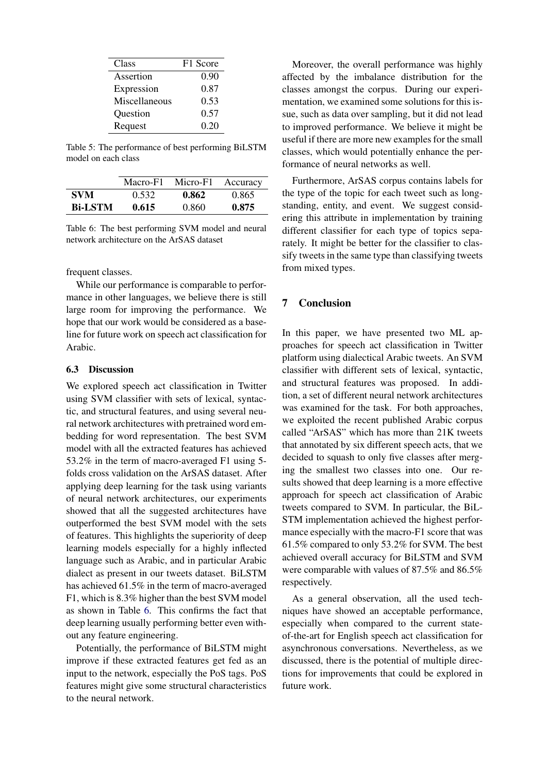<span id="page-7-0"></span>

| Class         | F1 Score |
|---------------|----------|
| Assertion     | 0.90     |
| Expression    | 0.87     |
| Miscellaneous | 0.53     |
| Question      | 0.57     |
| Request       | 0.20     |

Table 5: The performance of best performing BiLSTM model on each class

<span id="page-7-1"></span>

|                | Macro-F1 | Micro-F1 | Accuracy |
|----------------|----------|----------|----------|
| SVM            | 0.532    | 0.862    | 0.865    |
| <b>Bi-LSTM</b> | 0.615    | 0.860    | 0.875    |

Table 6: The best performing SVM model and neural network architecture on the ArSAS dataset

frequent classes.

While our performance is comparable to performance in other languages, we believe there is still large room for improving the performance. We hope that our work would be considered as a baseline for future work on speech act classification for Arabic.

#### 6.3 Discussion

We explored speech act classification in Twitter using SVM classifier with sets of lexical, syntactic, and structural features, and using several neural network architectures with pretrained word embedding for word representation. The best SVM model with all the extracted features has achieved 53.2% in the term of macro-averaged F1 using 5 folds cross validation on the ArSAS dataset. After applying deep learning for the task using variants of neural network architectures, our experiments showed that all the suggested architectures have outperformed the best SVM model with the sets of features. This highlights the superiority of deep learning models especially for a highly inflected language such as Arabic, and in particular Arabic dialect as present in our tweets dataset. BiLSTM has achieved 61.5% in the term of macro-averaged F1, which is 8.3% higher than the best SVM model as shown in Table [6.](#page-7-1) This confirms the fact that deep learning usually performing better even without any feature engineering.

Potentially, the performance of BiLSTM might improve if these extracted features get fed as an input to the network, especially the PoS tags. PoS features might give some structural characteristics to the neural network.

Moreover, the overall performance was highly affected by the imbalance distribution for the classes amongst the corpus. During our experimentation, we examined some solutions for this issue, such as data over sampling, but it did not lead to improved performance. We believe it might be useful if there are more new examples for the small classes, which would potentially enhance the performance of neural networks as well.

Furthermore, ArSAS corpus contains labels for the type of the topic for each tweet such as longstanding, entity, and event. We suggest considering this attribute in implementation by training different classifier for each type of topics separately. It might be better for the classifier to classify tweets in the same type than classifying tweets from mixed types.

#### 7 Conclusion

In this paper, we have presented two ML approaches for speech act classification in Twitter platform using dialectical Arabic tweets. An SVM classifier with different sets of lexical, syntactic, and structural features was proposed. In addition, a set of different neural network architectures was examined for the task. For both approaches, we exploited the recent published Arabic corpus called "ArSAS" which has more than 21K tweets that annotated by six different speech acts, that we decided to squash to only five classes after merging the smallest two classes into one. Our results showed that deep learning is a more effective approach for speech act classification of Arabic tweets compared to SVM. In particular, the BiL-STM implementation achieved the highest performance especially with the macro-F1 score that was 61.5% compared to only 53.2% for SVM. The best achieved overall accuracy for BiLSTM and SVM were comparable with values of 87.5% and 86.5% respectively.

As a general observation, all the used techniques have showed an acceptable performance, especially when compared to the current stateof-the-art for English speech act classification for asynchronous conversations. Nevertheless, as we discussed, there is the potential of multiple directions for improvements that could be explored in future work.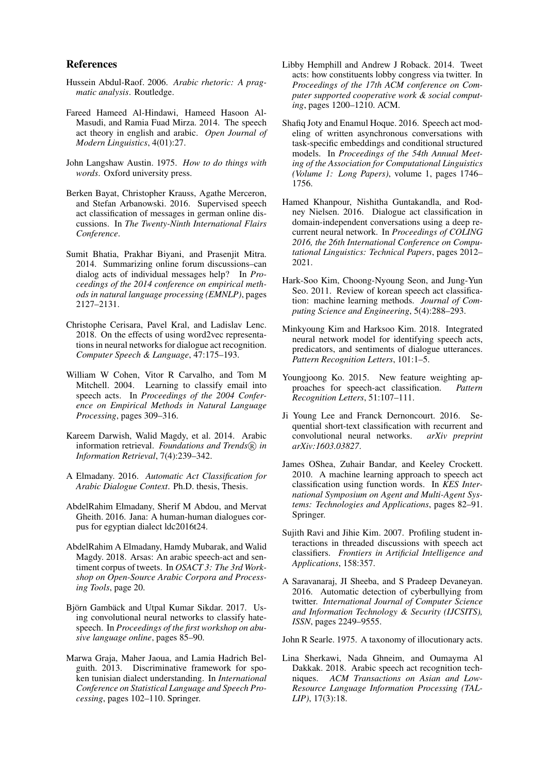#### References

- <span id="page-8-7"></span>Hussein Abdul-Raof. 2006. *Arabic rhetoric: A pragmatic analysis*. Routledge.
- <span id="page-8-8"></span>Fareed Hameed Al-Hindawi, Hameed Hasoon Al-Masudi, and Ramia Fuad Mirza. 2014. The speech act theory in english and arabic. *Open Journal of Modern Linguistics*, 4(01):27.
- <span id="page-8-6"></span>John Langshaw Austin. 1975. *How to do things with words*. Oxford university press.
- <span id="page-8-3"></span>Berken Bayat, Christopher Krauss, Agathe Merceron, and Stefan Arbanowski. 2016. Supervised speech act classification of messages in german online discussions. In *The Twenty-Ninth International Flairs Conference*.
- <span id="page-8-0"></span>Sumit Bhatia, Prakhar Biyani, and Prasenjit Mitra. 2014. Summarizing online forum discussions–can dialog acts of individual messages help? In *Proceedings of the 2014 conference on empirical methods in natural language processing (EMNLP)*, pages 2127–2131.
- <span id="page-8-13"></span>Christophe Cerisara, Pavel Kral, and Ladislav Lenc. 2018. On the effects of using word2vec representations in neural networks for dialogue act recognition. *Computer Speech & Language*, 47:175–193.
- <span id="page-8-9"></span>William W Cohen, Vitor R Carvalho, and Tom M Mitchell. 2004. Learning to classify email into speech acts. In *Proceedings of the 2004 Conference on Empirical Methods in Natural Language Processing*, pages 309–316.
- <span id="page-8-24"></span>Kareem Darwish, Walid Magdy, et al. 2014. Arabic information retrieval. *Foundations and Trends*( $\widehat{R}$ ) in *Information Retrieval*, 7(4):239–342.
- <span id="page-8-19"></span>A Elmadany. 2016. *Automatic Act Classification for Arabic Dialogue Context*. Ph.D. thesis, Thesis.
- <span id="page-8-20"></span>AbdelRahim Elmadany, Sherif M Abdou, and Mervat Gheith. 2016. Jana: A human-human dialogues corpus for egyptian dialect ldc2016t24.
- <span id="page-8-4"></span>AbdelRahim A Elmadany, Hamdy Mubarak, and Walid Magdy. 2018. Arsas: An arabic speech-act and sentiment corpus of tweets. In *OSACT 3: The 3rd Workshop on Open-Source Arabic Corpora and Processing Tools*, page 20.
- <span id="page-8-1"></span>Björn Gambäck and Utpal Kumar Sikdar. 2017. Using convolutional neural networks to classify hatespeech. In *Proceedings of the first workshop on abusive language online*, pages 85–90.
- <span id="page-8-18"></span>Marwa Graja, Maher Jaoua, and Lamia Hadrich Belguith. 2013. Discriminative framework for spoken tunisian dialect understanding. In *International Conference on Statistical Language and Speech Processing*, pages 102–110. Springer.
- <span id="page-8-22"></span>Libby Hemphill and Andrew J Roback. 2014. Tweet acts: how constituents lobby congress via twitter. In *Proceedings of the 17th ACM conference on Computer supported cooperative work & social computing*, pages 1200–1210. ACM.
- <span id="page-8-17"></span>Shafiq Joty and Enamul Hoque. 2016. Speech act modeling of written asynchronous conversations with task-specific embeddings and conditional structured models. In *Proceedings of the 54th Annual Meeting of the Association for Computational Linguistics (Volume 1: Long Papers)*, volume 1, pages 1746– 1756.
- <span id="page-8-14"></span>Hamed Khanpour, Nishitha Guntakandla, and Rodney Nielsen. 2016. Dialogue act classification in domain-independent conversations using a deep recurrent neural network. In *Proceedings of COLING 2016, the 26th International Conference on Computational Linguistics: Technical Papers*, pages 2012– 2021.
- <span id="page-8-11"></span>Hark-Soo Kim, Choong-Nyoung Seon, and Jung-Yun Seo. 2011. Review of korean speech act classification: machine learning methods. *Journal of Computing Science and Engineering*, 5(4):288–293.
- <span id="page-8-15"></span>Minkyoung Kim and Harksoo Kim. 2018. Integrated neural network model for identifying speech acts, predicators, and sentiments of dialogue utterances. *Pattern Recognition Letters*, 101:1–5.
- <span id="page-8-12"></span>Youngjoong Ko. 2015. New feature weighting approaches for speech-act classification. *Pattern Recognition Letters*, 51:107–111.
- <span id="page-8-16"></span>Ji Young Lee and Franck Dernoncourt. 2016. Sequential short-text classification with recurrent and convolutional neural networks. *arXiv preprint arXiv:1603.03827*.
- <span id="page-8-10"></span>James OShea, Zuhair Bandar, and Keeley Crockett. 2010. A machine learning approach to speech act classification using function words. In *KES International Symposium on Agent and Multi-Agent Systems: Technologies and Applications*, pages 82–91. Springer.
- <span id="page-8-23"></span>Sujith Ravi and Jihie Kim. 2007. Profiling student interactions in threaded discussions with speech act classifiers. *Frontiers in Artificial Intelligence and Applications*, 158:357.
- <span id="page-8-2"></span>A Saravanaraj, JI Sheeba, and S Pradeep Devaneyan. 2016. Automatic detection of cyberbullying from twitter. *International Journal of Computer Science and Information Technology & Security (IJCSITS), ISSN*, pages 2249–9555.

<span id="page-8-5"></span>John R Searle. 1975. A taxonomy of illocutionary acts.

<span id="page-8-21"></span>Lina Sherkawi, Nada Ghneim, and Oumayma Al Dakkak. 2018. Arabic speech act recognition techniques. *ACM Transactions on Asian and Low-Resource Language Information Processing (TAL-LIP)*, 17(3):18.